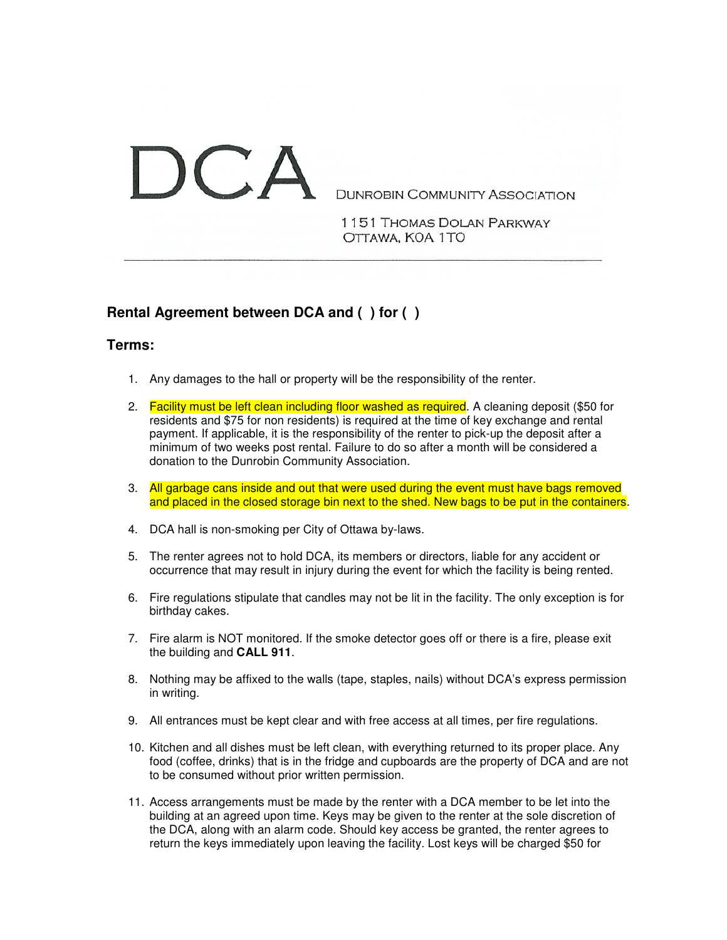## $\Lambda$ **DUNROBIN COMMUNITY ASSOCIATION**

1151 THOMAS DOLAN PARKWAY OTTAWA, KOA 1TO

## **Rental Agreement between DCA and ( ) for ( )**

## **Terms:**

- 1. Any damages to the hall or property will be the responsibility of the renter.
- 2. Facility must be left clean including floor washed as required. A cleaning deposit (\$50 for residents and \$75 for non residents) is required at the time of key exchange and rental payment. If applicable, it is the responsibility of the renter to pick-up the deposit after a minimum of two weeks post rental. Failure to do so after a month will be considered a donation to the Dunrobin Community Association.
- 3. All garbage cans inside and out that were used during the event must have bags removed and placed in the closed storage bin next to the shed. New bags to be put in the containers.
- 4. DCA hall is non-smoking per City of Ottawa by-laws.
- 5. The renter agrees not to hold DCA, its members or directors, liable for any accident or occurrence that may result in injury during the event for which the facility is being rented.
- 6. Fire regulations stipulate that candles may not be lit in the facility. The only exception is for birthday cakes.
- 7. Fire alarm is NOT monitored. If the smoke detector goes off or there is a fire, please exit the building and **CALL 911**.
- 8. Nothing may be affixed to the walls (tape, staples, nails) without DCA's express permission in writing.
- 9. All entrances must be kept clear and with free access at all times, per fire regulations.
- 10. Kitchen and all dishes must be left clean, with everything returned to its proper place. Any food (coffee, drinks) that is in the fridge and cupboards are the property of DCA and are not to be consumed without prior written permission.
- 11. Access arrangements must be made by the renter with a DCA member to be let into the building at an agreed upon time. Keys may be given to the renter at the sole discretion of the DCA, along with an alarm code. Should key access be granted, the renter agrees to return the keys immediately upon leaving the facility. Lost keys will be charged \$50 for